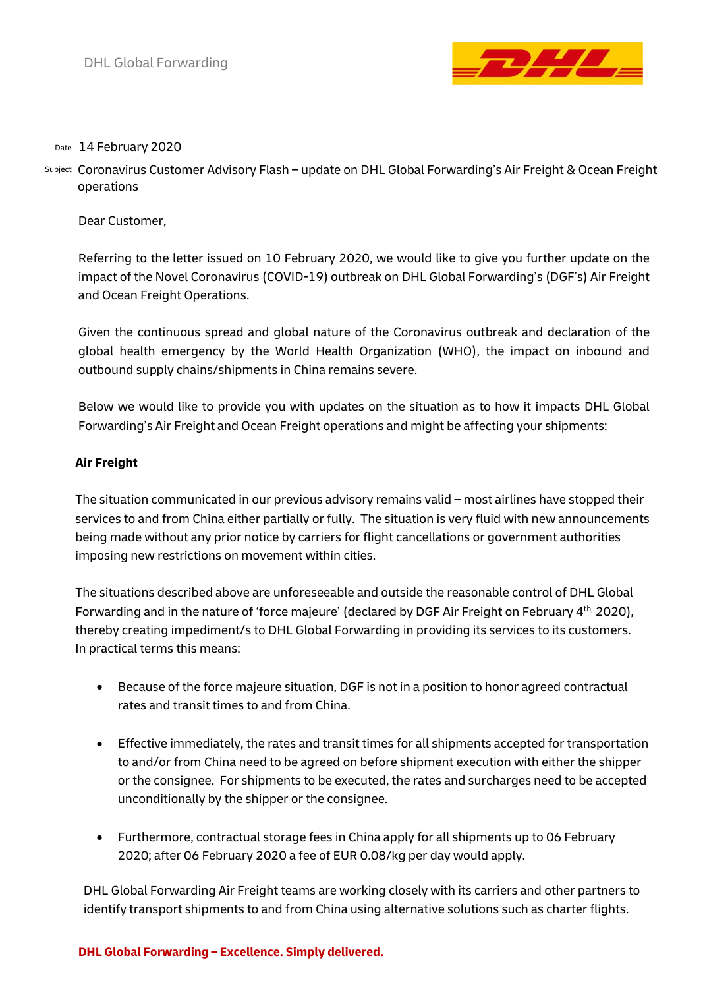

## <sub>Date</sub> 14 February 2020

subject Coronavirus Customer Advisory Flash – update on DHL Global Forwarding's Air Freight & Ocean Freight operations

Dear Customer,

Referring to the letter issued on 10 February 2020, we would like to give you further update on the impact of the Novel Coronavirus (COVID-19) outbreak on DHL Global Forwarding's (DGF's) Air Freight and Ocean Freight Operations.

Given the continuous spread and global nature of the Coronavirus outbreak and declaration of the global health emergency by the World Health Organization (WHO), the impact on inbound and outbound supply chains/shipments in China remains severe.

Below we would like to provide you with updates on the situation as to how it impacts DHL Global Forwarding's Air Freight and Ocean Freight operations and might be affecting your shipments:

## **Air Freight**

The situation communicated in our previous advisory remains valid – most airlines have stopped their services to and from China either partially or fully. The situation is very fluid with new announcements being made without any prior notice by carriers for flight cancellations or government authorities imposing new restrictions on movement within cities.

The situations described above are unforeseeable and outside the reasonable control of DHL Global Forwarding and in the nature of 'force majeure' (declared by DGF Air Freight on February  $4^{\text{th}}$ , 2020), thereby creating impediment/s to DHL Global Forwarding in providing its services to its customers. In practical terms this means:

- Because of the force majeure situation, DGF is not in a position to honor agreed contractual rates and transit times to and from China.
- Effective immediately, the rates and transit times for all shipments accepted for transportation to and/or from China need to be agreed on before shipment execution with either the shipper or the consignee. For shipments to be executed, the rates and surcharges need to be accepted unconditionally by the shipper or the consignee.
- Furthermore, contractual storage fees in China apply for all shipments up to 06 February 2020; after 06 February 2020 a fee of EUR 0.08/kg per day would apply.

DHL Global Forwarding Air Freight teams are working closely with its carriers and other partners to identify transport shipments to and from China using alternative solutions such as charter flights.